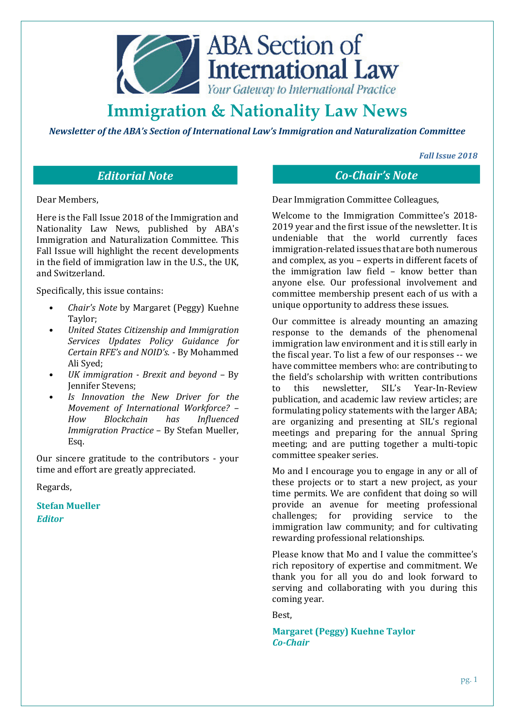

*Newsletter of the ABA's Section of International Law's Immigration and Naturalization Committee* 

*Fall Issue 2018* 

Dear Members,

Here is the Fall Issue 2018 of the Immigration and Nationality Law News, published by ABA's Immigration and Naturalization Committee. This Fall Issue will highlight the recent developments in the field of immigration law in the U.S., the UK, and Switzerland.

Specifically, this issue contains:

- *Chair's Note* by Margaret (Peggy) Kuehne Taylor;
- *United States Citizenship and Immigration Services Updates Policy Guidance for Certain RFE's and NOID's. -* By Mohammed Ali Syed;
- *UK immigration Brexit and beyond* By Jennifer Stevens;
- *Is Innovation the New Driver for the Movement of International Workforce? – How Blockchain has Influenced Immigration Practice* – By Stefan Mueller, Esq.

Our sincere gratitude to the contributors - your time and effort are greatly appreciated.

Regards,

**Stefan Mueller** *Editor*

*Editorial Note Co-Chair's Note*

Dear Immigration Committee Colleagues,

Welcome to the Immigration Committee's 2018- 2019 year and the first issue of the newsletter. It is undeniable that the world currently faces immigration-related issues that are both numerous and complex, as you – experts in different facets of the immigration law field – know better than anyone else. Our professional involvement and committee membership present each of us with a unique opportunity to address these issues.

Our committee is already mounting an amazing response to the demands of the phenomenal immigration law environment and it is still early in the fiscal year. To list a few of our responses -- we have committee members who: are contributing to the field's scholarship with written contributions to this newsletter, SIL's Year-In-Review publication, and academic law review articles; are formulating policy statements with the larger ABA; are organizing and presenting at SIL's regional meetings and preparing for the annual Spring meeting; and are putting together a multi-topic committee speaker series.

Mo and I encourage you to engage in any or all of these projects or to start a new project, as your time permits. We are confident that doing so will provide an avenue for meeting professional challenges; for providing service to the immigration law community; and for cultivating rewarding professional relationships.

Please know that Mo and I value the committee's rich repository of expertise and commitment. We thank you for all you do and look forward to serving and collaborating with you during this coming year.

Best,

**Margaret (Peggy) Kuehne Taylor**  *Co-Chair*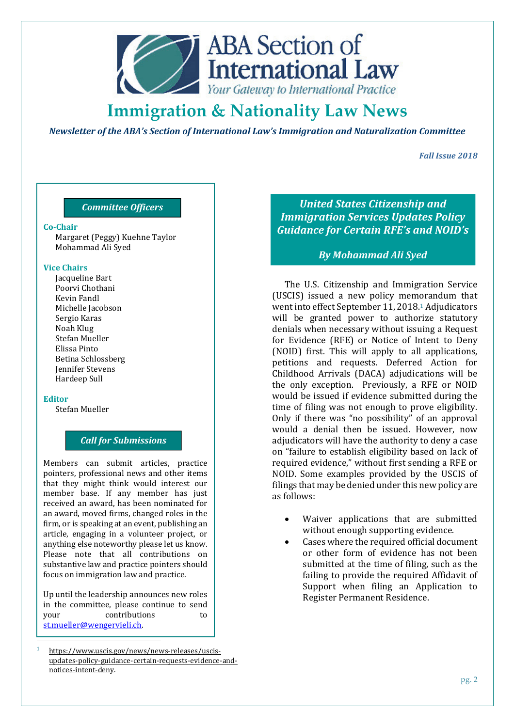

*Newsletter of the ABA's Section of International Law's Immigration and Naturalization Committee* 

*Fall Issue 2018* 

# *Committee Officers*

#### **Co-Chair**

Margaret (Peggy) Kuehne Taylor Mohammad Ali Syed

#### **Vice Chairs**

Jacqueline Bart Poorvi Chothani Kevin Fandl Michelle Jacobson Sergio Karas Noah Klug Stefan Mueller Elissa Pinto Betina Schlossberg Jennifer Stevens Hardeep Sull

#### **Editor**

 $\overline{a}$ 

Stefan Mueller

# *Call for Submissions*

Members can submit articles, practice pointers, professional news and other items that they might think would interest our member base. If any member has just received an award, has been nominated for an award, moved firms, changed roles in the firm, or is speaking at an event, publishing an article, engaging in a volunteer project, or anything else noteworthy please let us know. Please note that all contributions on substantive law and practice pointers should focus on immigration law and practice.

Up until the leadership announces new roles in the committee, please continue to send your contributions to st.mueller@wengervieli.ch.

*United States Citizenship and Immigration Services Updates Policy Guidance for Certain RFE's and NOID's* 

### *By Mohammad Ali Syed*

The U.S. Citizenship and Immigration Service (USCIS) issued a new policy memorandum that went into effect September 11, 2018.<sup>1</sup> Adjudicators will be granted power to authorize statutory denials when necessary without issuing a Request for Evidence (RFE) or Notice of Intent to Deny (NOID) first. This will apply to all applications, petitions and requests. Deferred Action for Childhood Arrivals (DACA) adjudications will be the only exception. Previously, a RFE or NOID would be issued if evidence submitted during the time of filing was not enough to prove eligibility. Only if there was "no possibility" of an approval would a denial then be issued. However, now adjudicators will have the authority to deny a case on "failure to establish eligibility based on lack of required evidence," without first sending a RFE or NOID. Some examples provided by the USCIS of filings that may be denied under this new policy are as follows:

- Waiver applications that are submitted without enough supporting evidence.
- Cases where the required official document or other form of evidence has not been submitted at the time of filing, such as the failing to provide the required Affidavit of Support when filing an Application to Register Permanent Residence.

<sup>1</sup> https://www.uscis.gov/news/news-releases/uscisupdates-policy-guidance-certain-requests-evidence-andnotices-intent-deny.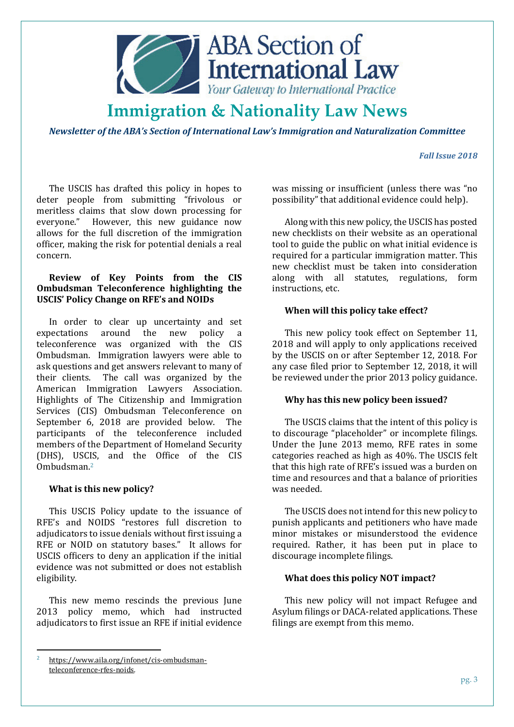

*Newsletter of the ABA's Section of International Law's Immigration and Naturalization Committee* 

### *Fall Issue 2018*

The USCIS has drafted this policy in hopes to deter people from submitting "frivolous or meritless claims that slow down processing for everyone." However, this new guidance now allows for the full discretion of the immigration officer, making the risk for potential denials a real concern.

# **Review of Key Points from the CIS Ombudsman Teleconference highlighting the USCIS' Policy Change on RFE's and NOIDs**

In order to clear up uncertainty and set expectations around the new policy a teleconference was organized with the CIS Ombudsman. Immigration lawyers were able to ask questions and get answers relevant to many of their clients. The call was organized by the American Immigration Lawyers Association. Highlights of The Citizenship and Immigration Services (CIS) Ombudsman Teleconference on September 6, 2018 are provided below. The participants of the teleconference included members of the Department of Homeland Security (DHS), USCIS, and the Office of the CIS Ombudsman.<sup>2</sup>

### **What is this new policy?**

This USCIS Policy update to the issuance of RFE's and NOIDS "restores full discretion to adjudicators to issue denials without first issuing a RFE or NOID on statutory bases." It allows for USCIS officers to deny an application if the initial evidence was not submitted or does not establish eligibility.

This new memo rescinds the previous June 2013 policy memo, which had instructed adjudicators to first issue an RFE if initial evidence

l

was missing or insufficient (unless there was "no possibility" that additional evidence could help).

Along with this new policy, the USCIS has posted new checklists on their website as an operational tool to guide the public on what initial evidence is required for a particular immigration matter. This new checklist must be taken into consideration along with all statutes, regulations, form instructions, etc.

# **When will this policy take effect?**

This new policy took effect on September 11, 2018 and will apply to only applications received by the USCIS on or after September 12, 2018. For any case filed prior to September 12, 2018, it will be reviewed under the prior 2013 policy guidance.

### **Why has this new policy been issued?**

The USCIS claims that the intent of this policy is to discourage "placeholder" or incomplete filings. Under the June 2013 memo, RFE rates in some categories reached as high as 40%. The USCIS felt that this high rate of RFE's issued was a burden on time and resources and that a balance of priorities was needed.

The USCIS does not intend for this new policy to punish applicants and petitioners who have made minor mistakes or misunderstood the evidence required. Rather, it has been put in place to discourage incomplete filings.

### **What does this policy NOT impact?**

This new policy will not impact Refugee and Asylum filings or DACA-related applications. These filings are exempt from this memo.

<sup>2</sup> https://www.aila.org/infonet/cis-ombudsmanteleconference-rfes-noids.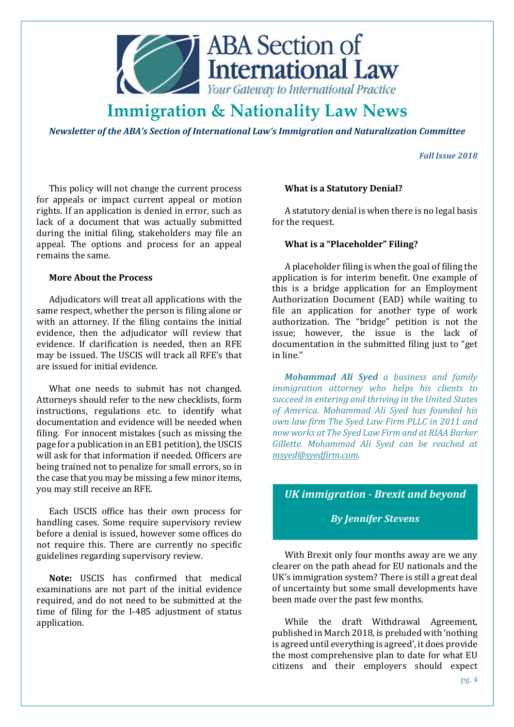

*Newsletter of the ABA's Section of International Law's Immigration and Naturalization Committee* 

*Fall Issue 2018* 

This policy will not change the current process for appeals or impact current appeal or motion rights. If an application is denied in error, such as lack of a document that was actually submitted during the initial filing, stakeholders may file an appeal. The options and process for an appeal remains the same.

# **More About the Process**

Adjudicators will treat all applications with the same respect, whether the person is filing alone or with an attorney. If the filing contains the initial evidence, then the adjudicator will review that evidence. If clarification is needed, then an RFE may be issued. The USCIS will track all RFE's that are issued for initial evidence.

What one needs to submit has not changed. Attorneys should refer to the new checklists, form instructions, regulations etc. to identify what documentation and evidence will be needed when filing. For innocent mistakes (such as missing the page for a publication in an EB1 petition), the USCIS will ask for that information if needed. Officers are being trained not to penalize for small errors, so in the case that you may be missing a few minor items, you may still receive an RFE.

Each USCIS office has their own process for handling cases. Some require supervisory review before a denial is issued, however some offices do not require this. There are currently no specific guidelines regarding supervisory review.

**Note:** USCIS has confirmed that medical examinations are not part of the initial evidence required, and do not need to be submitted at the time of filing for the I-485 adjustment of status application.

### **What is a Statutory Denial?**

A statutory denial is when there is no legal basis for the request.

#### **What is a "Placeholder" Filing?**

A placeholder filing is when the goal of filing the application is for interim benefit. One example of this is a bridge application for an Employment Authorization Document (EAD) while waiting to file an application for another type of work authorization. The "bridge" petition is not the issue; however, the issue is the lack of documentation in the submitted filing just to "get in line."

*Mohammad Ali Syed a business and family immigration attorney who helps his clients to succeed in entering and thriving in the United States of America. Mohammad Ali Syed has founded his own law firm The Syed Law Firm PLLC in 2011 and now works at The Syed Law Firm and at RIAA Barker Gillette. Mohammad Ali Syed can be reached at msyed@syedfirm.com.*

# *UK immigration - Brexit and beyond*

# *By Jennifer Stevens*

With Brexit only four months away are we any clearer on the path ahead for EU nationals and the UK's immigration system? There is still a great deal of uncertainty but some small developments have been made over the past few months.

While the draft Withdrawal Agreement, published in March 2018, is preluded with 'nothing is agreed until everything is agreed', it does provide the most comprehensive plan to date for what EU citizens and their employers should expect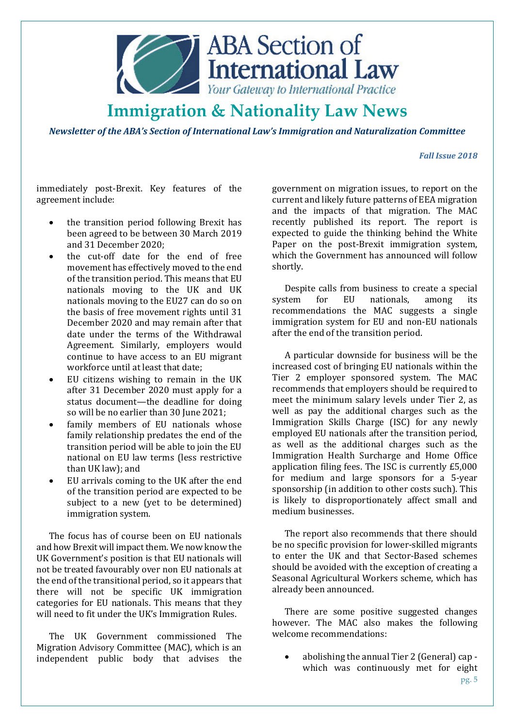

*Newsletter of the ABA's Section of International Law's Immigration and Naturalization Committee* 

### *Fall Issue 2018*

immediately post-Brexit. Key features of the agreement include:

- the transition period following Brexit has been agreed to be between 30 March 2019 and 31 December 2020;
- the cut-off date for the end of free movement has effectively moved to the end of the transition period. This means that EU nationals moving to the UK and UK nationals moving to the EU27 can do so on the basis of free movement rights until 31 December 2020 and may remain after that date under the terms of the Withdrawal Agreement. Similarly, employers would continue to have access to an EU migrant workforce until at least that date;
- EU citizens wishing to remain in the UK after 31 December 2020 must apply for a status document—the deadline for doing so will be no earlier than 30 June 2021;
- family members of EU nationals whose family relationship predates the end of the transition period will be able to join the EU national on EU law terms (less restrictive than UK law); and
- EU arrivals coming to the UK after the end of the transition period are expected to be subject to a new (yet to be determined) immigration system.

The focus has of course been on EU nationals and how Brexit will impact them. We now know the UK Government's position is that EU nationals will not be treated favourably over non EU nationals at the end of the transitional period, so it appears that there will not be specific UK immigration categories for EU nationals. This means that they will need to fit under the UK's Immigration Rules.

The UK Government commissioned The Migration Advisory Committee (MAC), which is an independent public body that advises the

government on migration issues, to report on the current and likely future patterns of EEA migration and the impacts of that migration. The MAC recently published its report. The report is expected to guide the thinking behind the White Paper on the post-Brexit immigration system, which the Government has announced will follow shortly.

Despite calls from business to create a special system for EU nationals, among its recommendations the MAC suggests a single immigration system for EU and non-EU nationals after the end of the transition period.

A particular downside for business will be the increased cost of bringing EU nationals within the Tier 2 employer sponsored system. The MAC recommends that employers should be required to meet the minimum salary levels under Tier 2, as well as pay the additional charges such as the Immigration Skills Charge (ISC) for any newly employed EU nationals after the transition period, as well as the additional charges such as the Immigration Health Surcharge and Home Office application filing fees. The ISC is currently £5,000 for medium and large sponsors for a 5-year sponsorship (in addition to other costs such). This is likely to disproportionately affect small and medium businesses.

The report also recommends that there should be no specific provision for lower-skilled migrants to enter the UK and that Sector-Based schemes should be avoided with the exception of creating a Seasonal Agricultural Workers scheme, which has already been announced.

There are some positive suggested changes however. The MAC also makes the following welcome recommendations:

• abolishing the annual Tier 2 (General) cap which was continuously met for eight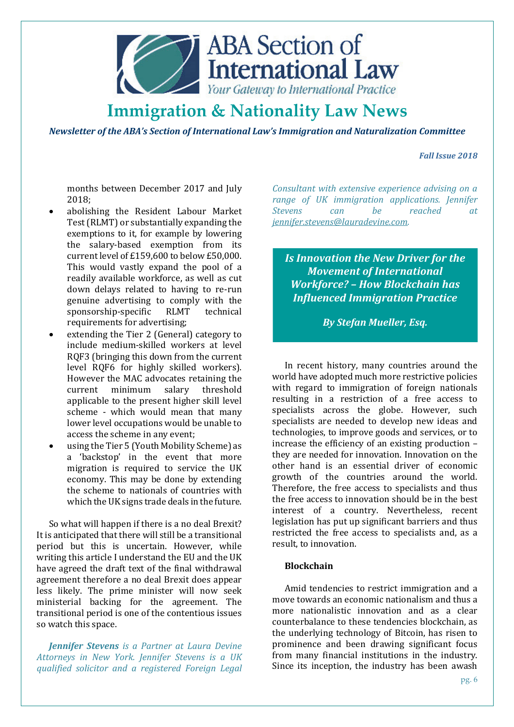

*Newsletter of the ABA's Section of International Law's Immigration and Naturalization Committee* 

*Fall Issue 2018* 

months between December 2017 and July 2018;

- abolishing the Resident Labour Market Test (RLMT) or substantially expanding the exemptions to it, for example by lowering the salary-based exemption from its current level of £159,600 to below £50,000. This would vastly expand the pool of a readily available workforce, as well as cut down delays related to having to re-run genuine advertising to comply with the<br>sponsorship-specific RLMT technical  $s$ ponsorship-specific RLMT requirements for advertising;
- extending the Tier 2 (General) category to include medium-skilled workers at level RQF3 (bringing this down from the current level RQF6 for highly skilled workers). However the MAC advocates retaining the current minimum salary threshold applicable to the present higher skill level scheme - which would mean that many lower level occupations would be unable to access the scheme in any event;
- using the Tier 5 (Youth Mobility Scheme) as a 'backstop' in the event that more migration is required to service the UK economy. This may be done by extending the scheme to nationals of countries with which the UK signs trade deals in the future.

So what will happen if there is a no deal Brexit? It is anticipated that there will still be a transitional period but this is uncertain. However, while writing this article I understand the EU and the UK have agreed the draft text of the final withdrawal agreement therefore a no deal Brexit does appear less likely. The prime minister will now seek ministerial backing for the agreement. The transitional period is one of the contentious issues so watch this space.

*Jennifer Stevens is a Partner at Laura Devine Attorneys in New York. Jennifer Stevens is a UK qualified solicitor and a registered Foreign Legal* 

*Consultant with extensive experience advising on a range of UK immigration applications. Jennifer Stevens can be reached at jennifer.stevens@lauradevine.com.* 

*Is Innovation the New Driver for the Movement of International Workforce? – How Blockchain has Influenced Immigration Practice*

*By Stefan Mueller, Esq.* 

In recent history, many countries around the world have adopted much more restrictive policies with regard to immigration of foreign nationals resulting in a restriction of a free access to specialists across the globe. However, such specialists are needed to develop new ideas and technologies, to improve goods and services, or to increase the efficiency of an existing production – they are needed for innovation. Innovation on the other hand is an essential driver of economic growth of the countries around the world. Therefore, the free access to specialists and thus the free access to innovation should be in the best interest of a country. Nevertheless, recent legislation has put up significant barriers and thus restricted the free access to specialists and, as a result, to innovation.

### **Blockchain**

Amid tendencies to restrict immigration and a move towards an economic nationalism and thus a more nationalistic innovation and as a clear counterbalance to these tendencies blockchain, as the underlying technology of Bitcoin, has risen to prominence and been drawing significant focus from many financial institutions in the industry. Since its inception, the industry has been awash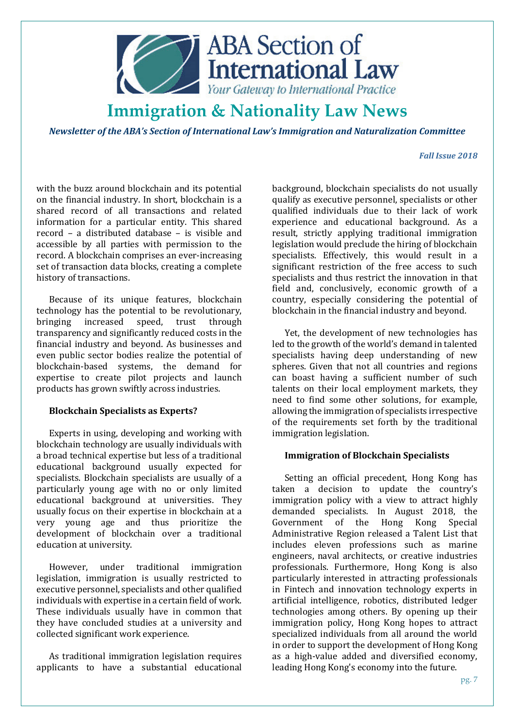

*Newsletter of the ABA's Section of International Law's Immigration and Naturalization Committee* 

#### *Fall Issue 2018*

with the buzz around blockchain and its potential on the financial industry. In short, blockchain is a shared record of all transactions and related information for a particular entity. This shared record – a distributed database – is visible and accessible by all parties with permission to the record. A blockchain comprises an ever-increasing set of transaction data blocks, creating a complete history of transactions.

Because of its unique features, blockchain technology has the potential to be revolutionary, bringing increased speed, trust through transparency and significantly reduced costs in the financial industry and beyond. As businesses and even public sector bodies realize the potential of blockchain-based systems, the demand for expertise to create pilot projects and launch products has grown swiftly across industries.

### **Blockchain Specialists as Experts?**

Experts in using, developing and working with blockchain technology are usually individuals with a broad technical expertise but less of a traditional educational background usually expected for specialists. Blockchain specialists are usually of a particularly young age with no or only limited educational background at universities. They usually focus on their expertise in blockchain at a very young age and thus prioritize the development of blockchain over a traditional education at university.

However, under traditional immigration legislation, immigration is usually restricted to executive personnel, specialists and other qualified individuals with expertise in a certain field of work. These individuals usually have in common that they have concluded studies at a university and collected significant work experience.

As traditional immigration legislation requires applicants to have a substantial educational background, blockchain specialists do not usually qualify as executive personnel, specialists or other qualified individuals due to their lack of work experience and educational background. As a result, strictly applying traditional immigration legislation would preclude the hiring of blockchain specialists. Effectively, this would result in a significant restriction of the free access to such specialists and thus restrict the innovation in that field and, conclusively, economic growth of a country, especially considering the potential of blockchain in the financial industry and beyond.

Yet, the development of new technologies has led to the growth of the world's demand in talented specialists having deep understanding of new spheres. Given that not all countries and regions can boast having a sufficient number of such talents on their local employment markets, they need to find some other solutions, for example, allowing the immigration of specialists irrespective of the requirements set forth by the traditional immigration legislation.

### **Immigration of Blockchain Specialists**

Setting an official precedent, Hong Kong has taken a decision to update the country's immigration policy with a view to attract highly demanded specialists. In August 2018, the Government of the Hong Kong Special Administrative Region released a Talent List that includes eleven professions such as marine engineers, naval architects, or creative industries professionals. Furthermore, Hong Kong is also particularly interested in attracting professionals in Fintech and innovation technology experts in artificial intelligence, robotics, distributed ledger technologies among others. By opening up their immigration policy, Hong Kong hopes to attract specialized individuals from all around the world in order to support the development of Hong Kong as a high-value added and diversified economy, leading Hong Kong's economy into the future.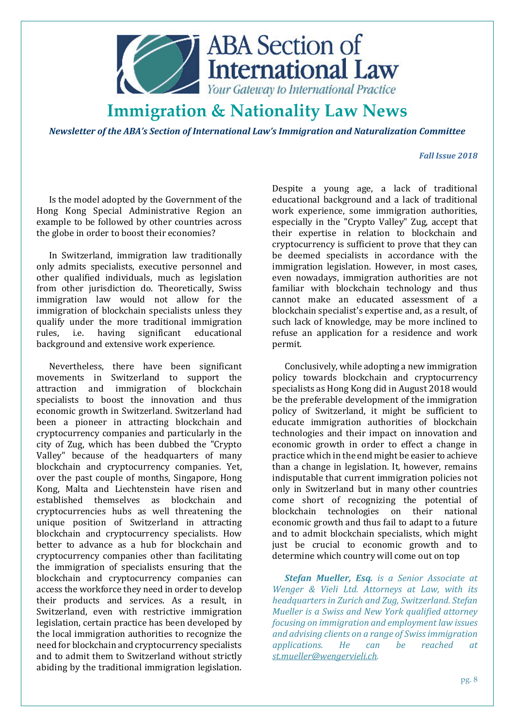

*Newsletter of the ABA's Section of International Law's Immigration and Naturalization Committee* 

### *Fall Issue 2018*

Is the model adopted by the Government of the Hong Kong Special Administrative Region an example to be followed by other countries across the globe in order to boost their economies?

In Switzerland, immigration law traditionally only admits specialists, executive personnel and other qualified individuals, much as legislation from other jurisdiction do. Theoretically, Swiss immigration law would not allow for the immigration of blockchain specialists unless they qualify under the more traditional immigration rules, i.e. having significant educational background and extensive work experience.

Nevertheless, there have been significant movements in Switzerland to support the attraction and immigration of blockchain specialists to boost the innovation and thus economic growth in Switzerland. Switzerland had been a pioneer in attracting blockchain and cryptocurrency companies and particularly in the city of Zug, which has been dubbed the "Crypto Valley" because of the headquarters of many blockchain and cryptocurrency companies. Yet, over the past couple of months, Singapore, Hong Kong, Malta and Liechtenstein have risen and established themselves as blockchain and cryptocurrencies hubs as well threatening the unique position of Switzerland in attracting blockchain and cryptocurrency specialists. How better to advance as a hub for blockchain and cryptocurrency companies other than facilitating the immigration of specialists ensuring that the blockchain and cryptocurrency companies can access the workforce they need in order to develop their products and services. As a result, in Switzerland, even with restrictive immigration legislation, certain practice has been developed by the local immigration authorities to recognize the need for blockchain and cryptocurrency specialists and to admit them to Switzerland without strictly abiding by the traditional immigration legislation.

Despite a young age, a lack of traditional educational background and a lack of traditional work experience, some immigration authorities, especially in the "Crypto Valley" Zug, accept that their expertise in relation to blockchain and cryptocurrency is sufficient to prove that they can be deemed specialists in accordance with the immigration legislation. However, in most cases, even nowadays, immigration authorities are not familiar with blockchain technology and thus cannot make an educated assessment of a blockchain specialist's expertise and, as a result, of such lack of knowledge, may be more inclined to refuse an application for a residence and work permit.

Conclusively, while adopting a new immigration policy towards blockchain and cryptocurrency specialists as Hong Kong did in August 2018 would be the preferable development of the immigration policy of Switzerland, it might be sufficient to educate immigration authorities of blockchain technologies and their impact on innovation and economic growth in order to effect a change in practice which in the end might be easier to achieve than a change in legislation. It, however, remains indisputable that current immigration policies not only in Switzerland but in many other countries come short of recognizing the potential of blockchain technologies on their national economic growth and thus fail to adapt to a future and to admit blockchain specialists, which might just be crucial to economic growth and to determine which country will come out on top

*Stefan Mueller, Esq. is a Senior Associate at Wenger & Vieli Ltd. Attorneys at Law, with its headquarters in Zurich and Zug, Switzerland. Stefan Mueller is a Swiss and New York qualified attorney focusing on immigration and employment law issues and advising clients on a range of Swiss immigration applications. He can be reached at st.mueller@wengervieli.ch.*